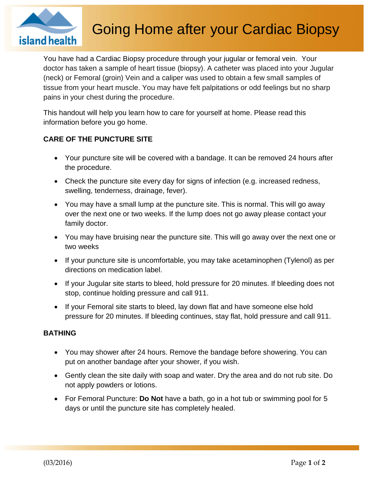

# Going Home after your Cardiac Biopsy

You have had a Cardiac Biopsy procedure through your jugular or femoral vein. Your doctor has taken a sample of heart tissue (biopsy). A catheter was placed into your Jugular (neck) or Femoral (groin) Vein and a caliper was used to obtain a few small samples of tissue from your heart muscle. You may have felt palpitations or odd feelings but no sharp pains in your chest during the procedure.

This handout will help you learn how to care for yourself at home. Please read this information before you go home.

# **CARE OF THE PUNCTURE SITE**

- Your puncture site will be covered with a bandage. It can be removed 24 hours after the procedure.
- Check the puncture site every day for signs of infection (e.g. increased redness, swelling, tenderness, drainage, fever).
- You may have a small lump at the puncture site. This is normal. This will go away over the next one or two weeks. If the lump does not go away please contact your family doctor.
- You may have bruising near the puncture site. This will go away over the next one or two weeks
- If your puncture site is uncomfortable, you may take acetaminophen (Tylenol) as per directions on medication label.
- If your Jugular site starts to bleed, hold pressure for 20 minutes. If bleeding does not stop, continue holding pressure and call 911.
- If your Femoral site starts to bleed, lay down flat and have someone else hold pressure for 20 minutes. If bleeding continues, stay flat, hold pressure and call 911.

#### **BATHING**

- You may shower after 24 hours. Remove the bandage before showering. You can put on another bandage after your shower, if you wish.
- Gently clean the site daily with soap and water. Dry the area and do not rub site. Do not apply powders or lotions.
- For Femoral Puncture: **Do Not** have a bath, go in a hot tub or swimming pool for 5 days or until the puncture site has completely healed.